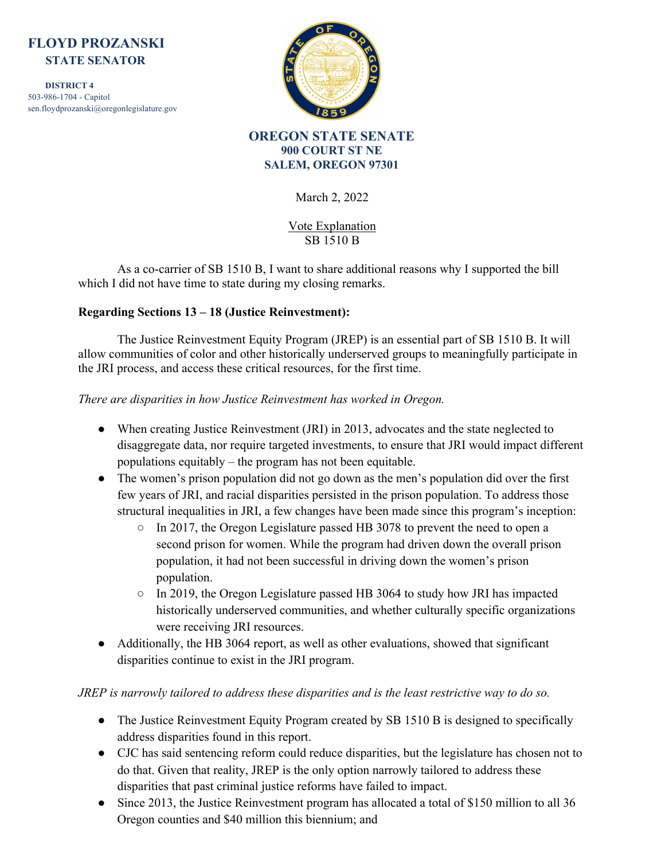# **FLOYD PROZANSKI STATE SENATOR**

 **DISTRICT 4** 503-986-1704 - Capitol sen.floydprozanski@oregonlegislature.gov



**OREGON STATE SENATE 900 COURT ST NE SALEM, OREGON 97301**

March 2, 2022

Vote Explanation SB 1510 B

As a co-carrier of SB 1510 B, I want to share additional reasons why I supported the bill which I did not have time to state during my closing remarks.

# **Regarding Sections 13 – 18 (Justice Reinvestment):**

The Justice Reinvestment Equity Program (JREP) is an essential part of SB 1510 B. It will allow communities of color and other historically underserved groups to meaningfully participate in the JRI process, and access these critical resources, for the first time.

### *There are disparities in how Justice Reinvestment has worked in Oregon.*

- When creating Justice Reinvestment (JRI) in 2013, advocates and the state neglected to disaggregate data, nor require targeted investments, to ensure that JRI would impact different populations equitably – the program has not been equitable.
- The women's prison population did not go down as the men's population did over the first few years of JRI, and racial disparities persisted in the prison population. To address those structural inequalities in JRI, a few changes have been made since this program's inception:
	- In 2017, the Oregon Legislature passed HB 3078 to prevent the need to open a second prison for women. While the program had driven down the overall prison population, it had not been successful in driving down the women's prison population.
	- In 2019, the Oregon Legislature passed HB 3064 to study how JRI has impacted historically underserved communities, and whether culturally specific organizations were receiving JRI resources.
- Additionally, the HB 3064 report, as well as other evaluations, showed that significant disparities continue to exist in the JRI program.

# *JREP is narrowly tailored to address these disparities and is the least restrictive way to do so.*

- The Justice Reinvestment Equity Program created by SB 1510 B is designed to specifically address disparities found in this report.
- CJC has said sentencing reform could reduce disparities, but the legislature has chosen not to do that. Given that reality, JREP is the only option narrowly tailored to address these disparities that past criminal justice reforms have failed to impact.
- Since 2013, the Justice Reinvestment program has allocated a total of \$150 million to all 36 Oregon counties and \$40 million this biennium; and